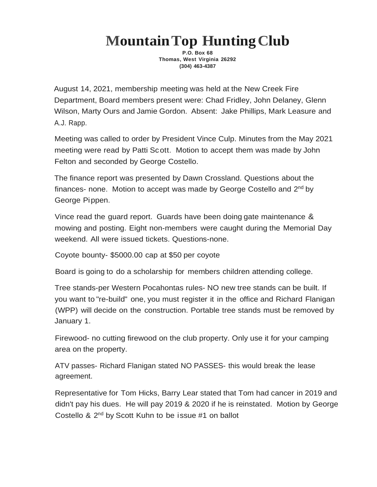## **MountainTop HuntingClub**

**P.O. Box 68 Thomas, West Virginia 26292 (304) 463-4387**

August 14, 2021, membership meeting was held at the New Creek Fire Department, Board members present were: Chad Fridley, John Delaney, Glenn Wilson, Marty Ours and Jamie Gordon. Absent: Jake Phillips, Mark Leasure and A.J. Rapp.

Meeting was called to order by President Vince Culp. Minutes from the May 2021 meeting were read by Patti Scott. Motion to accept them was made by John Felton and seconded by George Costello.

The finance report was presented by Dawn Crossland. Questions about the finances- none. Motion to accept was made by George Costello and 2<sup>nd</sup> by George Pippen.

Vince read the guard report. Guards have been doing gate maintenance & mowing and posting. Eight non-members were caught during the Memorial Day weekend. All were issued tickets. Questions-none.

Coyote bounty- \$5000.00 cap at \$50 per coyote

Board is going to do a scholarship for members children attending college.

Tree stands-per Western Pocahontas rules- NO new tree stands can be built. If you want to "re-build" one, you must register it in the office and Richard Flanigan (WPP) will decide on the construction. Portable tree stands must be removed by January 1.

Firewood- no cutting firewood on the club property. Only use it for your camping area on the property.

ATV passes- Richard Flanigan stated NO PASSES- this would break the lease agreement.

Representative for Tom Hicks, Barry Lear stated that Tom had cancer in 2019 and didn't pay his dues. He will pay 2019 & 2020 if he is reinstated. Motion by George Costello & 2<sup>nd</sup> by Scott Kuhn to be issue #1 on ballot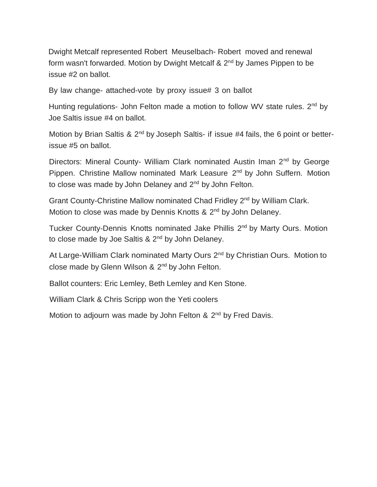Dwight Metcalf represented Robert Meuselbach- Robert moved and renewal form wasn't forwarded. Motion by Dwight Metcalf & 2<sup>nd</sup> by James Pippen to be issue #2 on ballot.

By law change- attached-vote by proxy issue# 3 on ballot

Hunting regulations- John Felton made a motion to follow WV state rules. 2<sup>nd</sup> by Joe Saltis issue #4 on ballot.

Motion by Brian Saltis & 2<sup>nd</sup> by Joseph Saltis- if issue #4 fails, the 6 point or betterissue #5 on ballot.

Directors: Mineral County- William Clark nominated Austin Iman 2<sup>nd</sup> by George Pippen. Christine Mallow nominated Mark Leasure 2<sup>nd</sup> by John Suffern. Motion to close was made by John Delaney and 2<sup>nd</sup> by John Felton.

Grant County-Christine Mallow nominated Chad Fridley 2<sup>nd</sup> by William Clark. Motion to close was made by Dennis Knotts & 2<sup>nd</sup> by John Delaney.

Tucker County-Dennis Knotts nominated Jake Phillis 2<sup>nd</sup> by Marty Ours. Motion to close made by Joe Saltis & 2<sup>nd</sup> by John Delaney.

At Large-William Clark nominated Marty Ours 2<sup>nd</sup> by Christian Ours. Motion to close made by Glenn Wilson & 2<sup>nd</sup> by John Felton.

Ballot counters: Eric Lemley, Beth Lemley and Ken Stone.

William Clark & Chris Scripp won the Yeti coolers

Motion to adjourn was made by John Felton & 2<sup>nd</sup> by Fred Davis.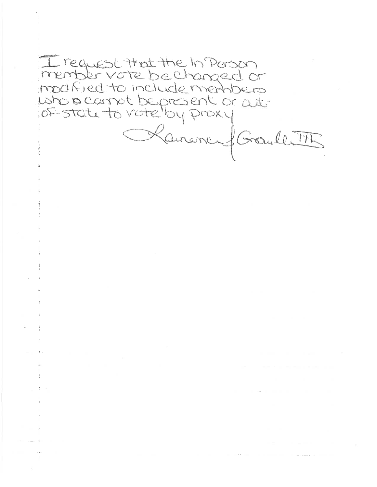I request that the In Person member vote be changed or modified to include members who is carnot be present or act. Kanonce & Graube TR

many than the many property and

 $\mathcal{L}^{\mathcal{L}}$  . The second contribution of the second contribution  $\mathcal{L}^{\mathcal{L}}$ 

 $L_{\rm{max}}=4$ 

 $\alpha = 1.5$  ,  $\alpha = 0.5$ 

 $\omega = \frac{1}{2} - \frac{1}{2}$  .

一本人

 $\sim$  100  $\mu$ 

 $\tau_{\rm{max}} = 0$  $\sim$  33  $\%$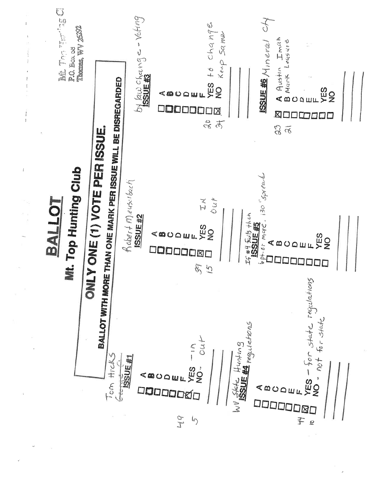